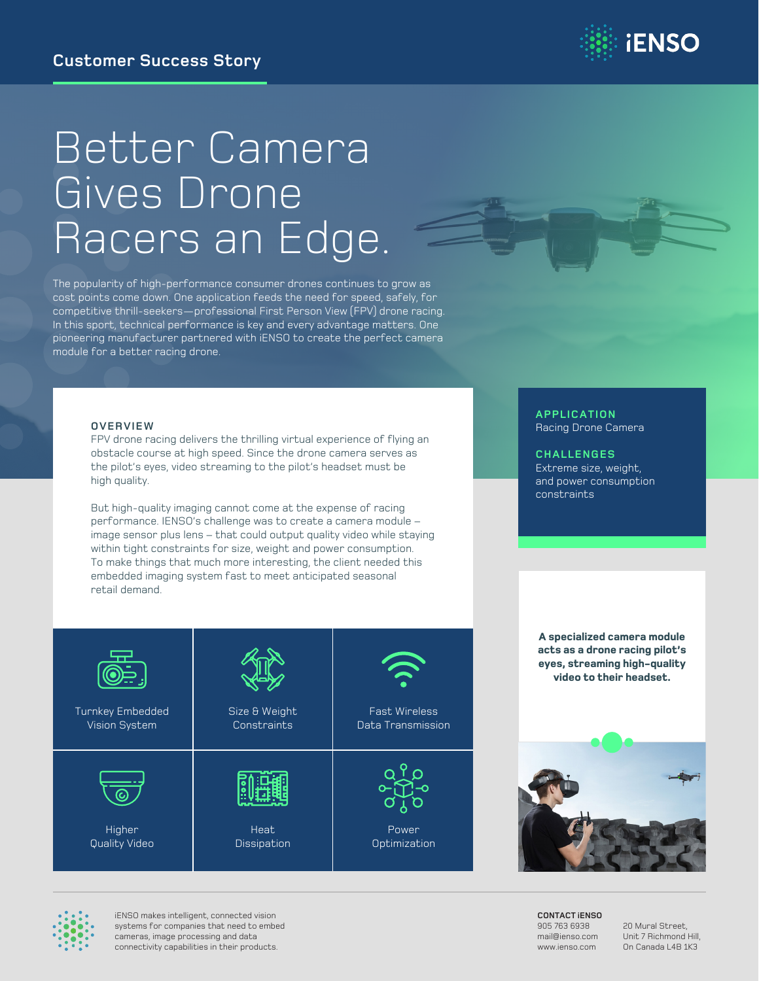

# Better Camera Gives Drone Racers an Edge.

The popularity of high-performance consumer drones continues to grow as cost points come down. One application feeds the need for speed, safely, for competitive thrill-seekers—professional First Person View (FPV) drone racing. In this sport, technical performance is key and every advantage matters. One pioneering manufacturer partnered with iENSO to create the perfect camera module for a better racing drone.

#### **OVERVIEW**

FPV drone racing delivers the thrilling virtual experience of flying an obstacle course at high speed. Since the drone camera serves as the pilot's eyes, video streaming to the pilot's headset must be high quality.

But high-quality imaging cannot come at the expense of racing performance. IENSO's challenge was to create a camera module – image sensor plus lens – that could output quality video while staying within tight constraints for size, weight and power consumption. To make things that much more interesting, the client needed this embedded imaging system fast to meet anticipated seasonal retail demand.

#### **APPLICATION** Racing Drone Camera

**CHALLENGES** Extreme size, weight, and power consumption constraints

| Turnkey Embedded | Size & Weight | <b>Fast Wireless</b> |
|------------------|---------------|----------------------|
| Vision System    | Constraints   | Data Transmission    |
| Higher           | Heat          | Power                |
| Quality Video    | Dissipation   | Optimization         |

**A specialized camera module acts as a drone racing pilot's eyes, streaming high-quality video to their headset.**



**CONTACT iENSO** 905 763 6938 mail@ienso.com www.ienso.com

20 Mural Street, Unit 7 Richmond Hill, On Canada L4B 1K3



iENSO makes intelligent, connected vision systems for companies that need to embed cameras, image processing and data connectivity capabilities in their products.